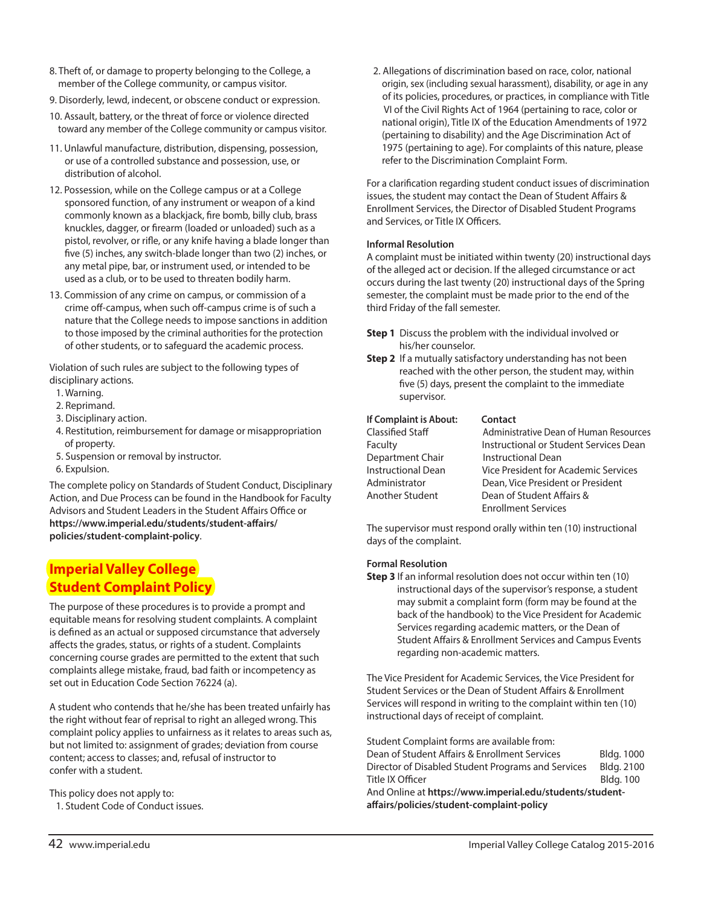- 8. Theft of, or damage to property belonging to the College, a member of the College community, or campus visitor.
- 9. Disorderly, lewd, indecent, or obscene conduct or expression.
- 10. Assault, battery, or the threat of force or violence directed toward any member of the College community or campus visitor.
- 11. Unlawful manufacture, distribution, dispensing, possession, or use of a controlled substance and possession, use, or distribution of alcohol.
- 12. Possession, while on the College campus or at a College sponsored function, of any instrument or weapon of a kind commonly known as a blackjack, fire bomb, billy club, brass knuckles, dagger, or firearm (loaded or unloaded) such as a pistol, revolver, or rifle, or any knife having a blade longer than five (5) inches, any switch-blade longer than two (2) inches, or any metal pipe, bar, or instrument used, or intended to be used as a club, or to be used to threaten bodily harm.
- 13. Commission of any crime on campus, or commission of a crime off-campus, when such off-campus crime is of such a nature that the College needs to impose sanctions in addition to those imposed by the criminal authorities for the protection of other students, or to safeguard the academic process.

Violation of such rules are subject to the following types of disciplinary actions.

- 1. Warning.
- 2. Reprimand.
- 3. Disciplinary action.
- 4. Restitution, reimbursement for damage or misappropriation of property.
- 5. Suspension or removal by instructor.
- 6. Expulsion.

The complete policy on Standards of Student Conduct, Disciplinary Action, and Due Process can be found in the Handbook for Faculty Advisors and Student Leaders in the Student Affairs Office or **https://www.imperial.edu/students/student-affairs/ policies/student-complaint-policy**.

# **Imperial Valley College Student Complaint Policy**

The purpose of these procedures is to provide a prompt and equitable means for resolving student complaints. A complaint is defined as an actual or supposed circumstance that adversely affects the grades, status, or rights of a student. Complaints concerning course grades are permitted to the extent that such complaints allege mistake, fraud, bad faith or incompetency as set out in Education Code Section 76224 (a).

A student who contends that he/she has been treated unfairly has the right without fear of reprisal to right an alleged wrong. This complaint policy applies to unfairness as it relates to areas such as, but not limited to: assignment of grades; deviation from course content; access to classes; and, refusal of instructor to confer with a student.

This policy does not apply to:

1. Student Code of Conduct issues.

2. Allegations of discrimination based on race, color, national origin, sex (including sexual harassment), disability, or age in any of its policies, procedures, or practices, in compliance with Title VI of the Civil Rights Act of 1964 (pertaining to race, color or national origin), Title IX of the Education Amendments of 1972 (pertaining to disability) and the Age Discrimination Act of 1975 (pertaining to age). For complaints of this nature, please refer to the Discrimination Complaint Form.

For a clarification regarding student conduct issues of discrimination issues, the student may contact the Dean of Student Affairs & Enrollment Services, the Director of Disabled Student Programs and Services, or Title IX Officers.

### **Informal Resolution**

A complaint must be initiated within twenty (20) instructional days of the alleged act or decision. If the alleged circumstance or act occurs during the last twenty (20) instructional days of the Spring semester, the complaint must be made prior to the end of the third Friday of the fall semester.

- **Step 1** Discuss the problem with the individual involved or his/her counselor.
- **Step 2** If a mutually satisfactory understanding has not been reached with the other person, the student may, within five (5) days, present the complaint to the immediate supervisor.

| If Complaint is About:    | Contact                                |
|---------------------------|----------------------------------------|
| Classified Staff          | Administrative Dean of Human Resources |
| Faculty                   | Instructional or Student Services Dean |
| Department Chair          | <b>Instructional Dean</b>              |
| <b>Instructional Dean</b> | Vice President for Academic Services   |
| Administrator             | Dean, Vice President or President      |
| Another Student           | Dean of Student Affairs &              |
|                           | <b>Enrollment Services</b>             |

The supervisor must respond orally within ten (10) instructional days of the complaint.

### **Formal Resolution**

**Step 3** If an informal resolution does not occur within ten (10) instructional days of the supervisor's response, a student may submit a complaint form (form may be found at the back of the handbook) to the Vice President for Academic Services regarding academic matters, or the Dean of Student Affairs & Enrollment Services and Campus Events regarding non-academic matters.

The Vice President for Academic Services, the Vice President for Student Services or the Dean of Student Affairs & Enrollment Services will respond in writing to the complaint within ten (10) instructional days of receipt of complaint.

Student Complaint forms are available from: Dean of Student Affairs & Enrollment Services Bldg. 1000 Director of Disabled Student Programs and Services Bldg. 2100 Title IX Officer and the state of the Bldg. 100 And Online at **https://www.imperial.edu/students/studentaffairs/policies/student-complaint-policy**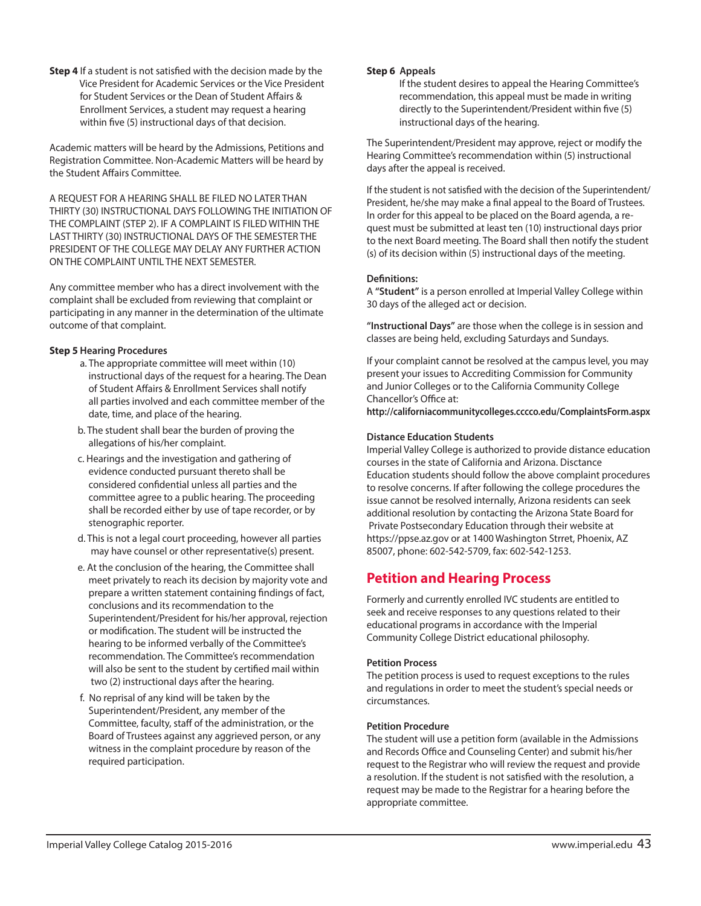**Step 4** If a student is not satisfied with the decision made by the Vice President for Academic Services or the Vice President for Student Services or the Dean of Student Affairs & Enrollment Services, a student may request a hearing within five (5) instructional days of that decision.

Academic matters will be heard by the Admissions, Petitions and Registration Committee. Non-Academic Matters will be heard by the Student Affairs Committee.

A REQUEST FOR A HEARING SHALL BE FILED NO LATER THAN THIRTY (30) INSTRUCTIONAL DAYS FOLLOWING THE INITIATION OF THE COMPLAINT (STEP 2). IF A COMPLAINT IS FILED WITHIN THE LAST THIRTY (30) INSTRUCTIONAL DAYS OF THE SEMESTER THE PRESIDENT OF THE COLLEGE MAY DELAY ANY FURTHER ACTION ON THE COMPLAINT UNTIL THE NEXT SEMESTER.

Any committee member who has a direct involvement with the complaint shall be excluded from reviewing that complaint or participating in any manner in the determination of the ultimate outcome of that complaint.

### **Step 5 Hearing Procedures**

- a. The appropriate committee will meet within (10) instructional days of the request for a hearing. The Dean of Student Affairs & Enrollment Services shall notify all parties involved and each committee member of the date, time, and place of the hearing.
- b. The student shall bear the burden of proving the allegations of his/her complaint.
- c. Hearings and the investigation and gathering of evidence conducted pursuant thereto shall be considered confidential unless all parties and the committee agree to a public hearing. The proceeding shall be recorded either by use of tape recorder, or by stenographic reporter.
- d. This is not a legal court proceeding, however all parties may have counsel or other representative(s) present.
- e. At the conclusion of the hearing, the Committee shall meet privately to reach its decision by majority vote and prepare a written statement containing findings of fact, conclusions and its recommendation to the Superintendent/President for his/her approval, rejection or modification. The student will be instructed the hearing to be informed verbally of the Committee's recommendation. The Committee's recommendation will also be sent to the student by certified mail within two (2) instructional days after the hearing.
- f. No reprisal of any kind will be taken by the Superintendent/President, any member of the Committee, faculty, staff of the administration, or the Board of Trustees against any aggrieved person, or any witness in the complaint procedure by reason of the required participation.

### **Step 6 Appeals**

If the student desires to appeal the Hearing Committee's recommendation, this appeal must be made in writing directly to the Superintendent/President within five (5) instructional days of the hearing.

The Superintendent/President may approve, reject or modify the Hearing Committee's recommendation within (5) instructional days after the appeal is received.

If the student is not satisfied with the decision of the Superintendent/ President, he/she may make a final appeal to the Board of Trustees. In order for this appeal to be placed on the Board agenda, a request must be submitted at least ten (10) instructional days prior to the next Board meeting. The Board shall then notify the student (s) of its decision within (5) instructional days of the meeting.

#### **Definitions:**

A **"Student"** is a person enrolled at Imperial Valley College within 30 days of the alleged act or decision.

**"Instructional Days"** are those when the college is in session and classes are being held, excluding Saturdays and Sundays.

If your complaint cannot be resolved at the campus level, you may present your issues to Accrediting Commission for Community and Junior Colleges or to the California Community College Chancellor's Office at:

**http://californiacommunitycolleges.cccco.edu/ComplaintsForm.aspx**

### **Distance Education Students**

Imperial Valley College is authorized to provide distance education courses in the state of California and Arizona. Disctance Education students should follow the above complaint procedures to resolve concerns. If after following the college procedures the issue cannot be resolved internally, Arizona residents can seek additional resolution by contacting the Arizona State Board for Private Postsecondary Education through their website at https://ppse.az.gov or at 1400 Washington Strret, Phoenix, AZ 85007, phone: 602-542-5709, fax: 602-542-1253.

## **Petition and Hearing Process**

Formerly and currently enrolled IVC students are entitled to seek and receive responses to any questions related to their educational programs in accordance with the Imperial Community College District educational philosophy.

### **Petition Process**

The petition process is used to request exceptions to the rules and regulations in order to meet the student's special needs or circumstances.

### **Petition Procedure**

The student will use a petition form (available in the Admissions and Records Office and Counseling Center) and submit his/her request to the Registrar who will review the request and provide a resolution. If the student is not satisfied with the resolution, a request may be made to the Registrar for a hearing before the appropriate committee.